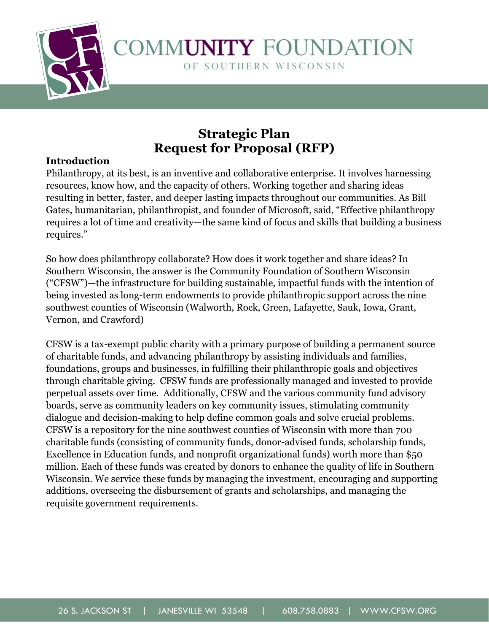

# **Strategic Plan Request for Proposal (RFP)**

## **Introduction**

Philanthropy, at its best, is an inventive and collaborative enterprise. It involves harnessing resources, know how, and the capacity of others. Working together and sharing ideas resulting in better, faster, and deeper lasting impacts throughout our communities. As Bill Gates, humanitarian, philanthropist, and founder of Microsoft, said, "Effective philanthropy requires a lot of time and creativity—the same kind of focus and skills that building a business requires."

So how does philanthropy collaborate? How does it work together and share ideas? In Southern Wisconsin, the answer is the Community Foundation of Southern Wisconsin ("CFSW")—the infrastructure for building sustainable, impactful funds with the intention of being invested as long-term endowments to provide philanthropic support across the nine southwest counties of Wisconsin (Walworth, Rock, Green, Lafayette, Sauk, Iowa, Grant, Vernon, and Crawford)

CFSW is a tax-exempt public charity with a primary purpose of building a permanent source of charitable funds, and advancing philanthropy by assisting individuals and families, foundations, groups and businesses, in fulfilling their philanthropic goals and objectives through charitable giving. CFSW funds are professionally managed and invested to provide perpetual assets over time. Additionally, CFSW and the various community fund advisory boards, serve as community leaders on key community issues, stimulating community dialogue and decision-making to help define common goals and solve crucial problems. CFSW is a repository for the nine southwest counties of Wisconsin with more than 700 charitable funds (consisting of community funds, donor-advised funds, scholarship funds, Excellence in Education funds, and nonprofit organizational funds) worth more than \$50 million. Each of these funds was created by donors to enhance the quality of life in Southern Wisconsin. We service these funds by managing the investment, encouraging and supporting additions, overseeing the disbursement of grants and scholarships, and managing the requisite government requirements.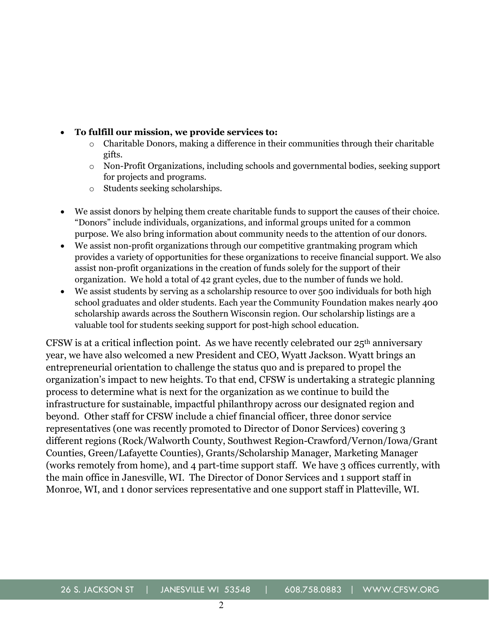#### • **To fulfill our mission, we provide services to:**

- $\circ$  Charitable Donors, making a difference in their communities through their charitable gifts.
- o Non-Profit Organizations, including schools and governmental bodies, seeking support for projects and programs.
- o Students seeking scholarships.
- We assist donors by helping them create charitable funds to support the causes of their choice. "Donors" include individuals, organizations, and informal groups united for a common purpose. We also bring information about community needs to the attention of our donors.
- We assist non-profit organizations through our competitive grantmaking program which provides a variety of opportunities for these organizations to receive financial support. We also assist non-profit organizations in the creation of funds solely for the support of their organization. We hold a total of 42 grant cycles, due to the number of funds we hold.
- We assist students by serving as a scholarship resource to over 500 individuals for both high school graduates and older students. Each year the Community Foundation makes nearly 400 scholarship awards across the Southern Wisconsin region. Our scholarship listings are a valuable tool for students seeking support for post-high school education.

CFSW is at a critical inflection point. As we have recently celebrated our 25th anniversary year, we have also welcomed a new President and CEO, Wyatt Jackson. Wyatt brings an entrepreneurial orientation to challenge the status quo and is prepared to propel the organization's impact to new heights. To that end, CFSW is undertaking a strategic planning process to determine what is next for the organization as we continue to build the infrastructure for sustainable, impactful philanthropy across our designated region and beyond. Other staff for CFSW include a chief financial officer, three donor service representatives (one was recently promoted to Director of Donor Services) covering 3 different regions (Rock/Walworth County, Southwest Region-Crawford/Vernon/Iowa/Grant Counties, Green/Lafayette Counties), Grants/Scholarship Manager, Marketing Manager (works remotely from home), and 4 part-time support staff. We have 3 offices currently, with the main office in Janesville, WI. The Director of Donor Services and 1 support staff in Monroe, WI, and 1 donor services representative and one support staff in Platteville, WI.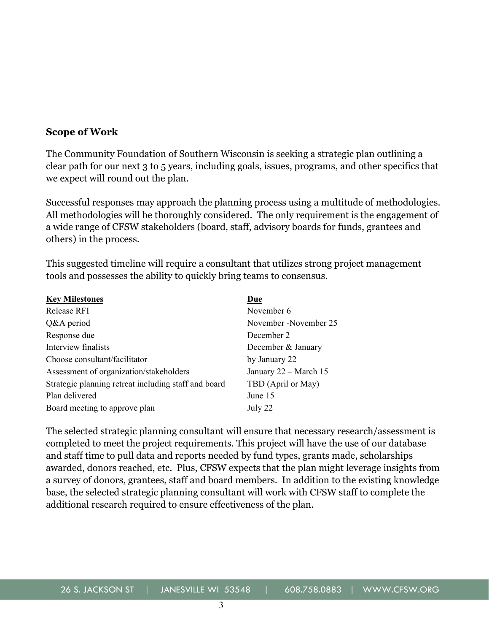#### **Scope of Work**

The Community Foundation of Southern Wisconsin is seeking a strategic plan outlining a clear path for our next 3 to 5 years, including goals, issues, programs, and other specifics that we expect will round out the plan.

Successful responses may approach the planning process using a multitude of methodologies. All methodologies will be thoroughly considered. The only requirement is the engagement of a wide range of CFSW stakeholders (board, staff, advisory boards for funds, grantees and others) in the process.

This suggested timeline will require a consultant that utilizes strong project management tools and possesses the ability to quickly bring teams to consensus.

| <b>Key Milestones</b>                                | Due                   |
|------------------------------------------------------|-----------------------|
| <b>Release RFI</b>                                   | November 6            |
| Q&A period                                           | November -November 25 |
| Response due                                         | December 2            |
| Interview finalists                                  | December & January    |
| Choose consultant/facilitator                        | by January 22         |
| Assessment of organization/stakeholders              | January 22 - March 15 |
| Strategic planning retreat including staff and board | TBD (April or May)    |
| Plan delivered                                       | June 15               |
| Board meeting to approve plan                        | July 22               |

The selected strategic planning consultant will ensure that necessary research/assessment is completed to meet the project requirements. This project will have the use of our database and staff time to pull data and reports needed by fund types, grants made, scholarships awarded, donors reached, etc. Plus, CFSW expects that the plan might leverage insights from a survey of donors, grantees, staff and board members. In addition to the existing knowledge base, the selected strategic planning consultant will work with CFSW staff to complete the additional research required to ensure effectiveness of the plan.